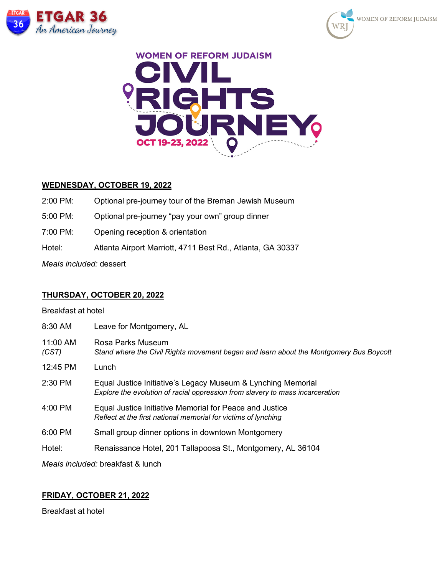





## **WEDNESDAY, OCTOBER 19, 2022**

2:00 PM: Optional pre-journey tour of the Breman Jewish Museum 5:00 PM: Optional pre-journey "pay your own" group dinner 7:00 PM: Opening reception & orientation Hotel: Atlanta Airport Marriott, 4711 Best Rd., Atlanta, GA 30337 *Meals included:* dessert

## **THURSDAY, OCTOBER 20, 2022**

Breakfast at hotel

| 8:30 AM           | Leave for Montgomery, AL                                                                                                                      |  |
|-------------------|-----------------------------------------------------------------------------------------------------------------------------------------------|--|
| 11:00 AM<br>(CST) | Rosa Parks Museum<br>Stand where the Civil Rights movement began and learn about the Montgomery Bus Boycott                                   |  |
| 12:45 PM          | Lunch                                                                                                                                         |  |
| $2:30$ PM         | Equal Justice Initiative's Legacy Museum & Lynching Memorial<br>Explore the evolution of racial oppression from slavery to mass incarceration |  |
| $4:00$ PM         | Equal Justice Initiative Memorial for Peace and Justice<br>Reflect at the first national memorial for victims of lynching                     |  |
| $6:00$ PM         | Small group dinner options in downtown Montgomery                                                                                             |  |
| Hotel:            | Renaissance Hotel, 201 Tallapoosa St., Montgomery, AL 36104                                                                                   |  |
|                   | Meals included: breakfast & lunch                                                                                                             |  |

# **FRIDAY, OCTOBER 21, 2022**

Breakfast at hotel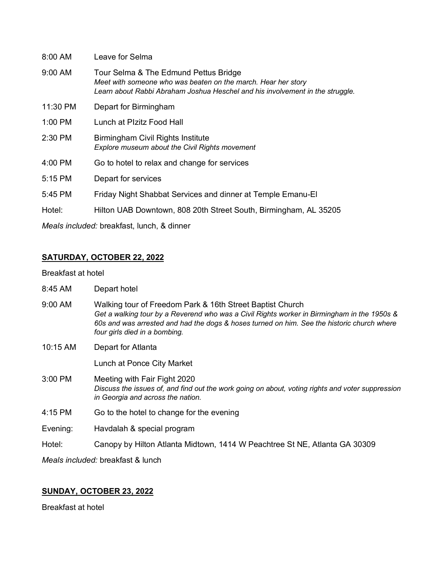| $8:00$ AM | Leave for Selma                                                                                                                                                                         |  |
|-----------|-----------------------------------------------------------------------------------------------------------------------------------------------------------------------------------------|--|
| $9:00$ AM | Tour Selma & The Edmund Pettus Bridge<br>Meet with someone who was beaten on the march. Hear her story<br>Learn about Rabbi Abraham Joshua Heschel and his involvement in the struggle. |  |
| 11:30 PM  | Depart for Birmingham                                                                                                                                                                   |  |
| $1:00$ PM | Lunch at Plzitz Food Hall                                                                                                                                                               |  |
| $2:30$ PM | Birmingham Civil Rights Institute<br>Explore museum about the Civil Rights movement                                                                                                     |  |
| $4:00$ PM | Go to hotel to relax and change for services                                                                                                                                            |  |
| 5:15 PM   | Depart for services                                                                                                                                                                     |  |
| $5:45$ PM | Friday Night Shabbat Services and dinner at Temple Emanu-El                                                                                                                             |  |
| Hotel:    | Hilton UAB Downtown, 808 20th Street South, Birmingham, AL 35205                                                                                                                        |  |
|           |                                                                                                                                                                                         |  |

*Meals included:* breakfast, lunch, & dinner

# **SATURDAY, OCTOBER 22, 2022**

Breakfast at hotel

| 8:45 AM | Depart hotel |
|---------|--------------|
|---------|--------------|

- 9:00 AM Walking tour of Freedom Park & 16th Street Baptist Church *Get a walking tour by a Reverend who was a Civil Rights worker in Birmingham in the 1950s & 60s and was arrested and had the dogs & hoses turned on him. See the historic church where four girls died in a bombing.*
- 10:15 AM Depart for Atlanta

Lunch at Ponce City Market

- 3:00 PM Meeting with Fair Fight 2020 *Discuss the issues of, and find out the work going on about, voting rights and voter suppression in Georgia and across the nation.*
- 4:15 PM Go to the hotel to change for the evening

Evening: Havdalah & special program

Hotel: Canopy by Hilton Atlanta Midtown, 1414 W Peachtree St NE, Atlanta GA 30309

*Meals included:* breakfast & lunch

# **SUNDAY, OCTOBER 23, 2022**

Breakfast at hotel